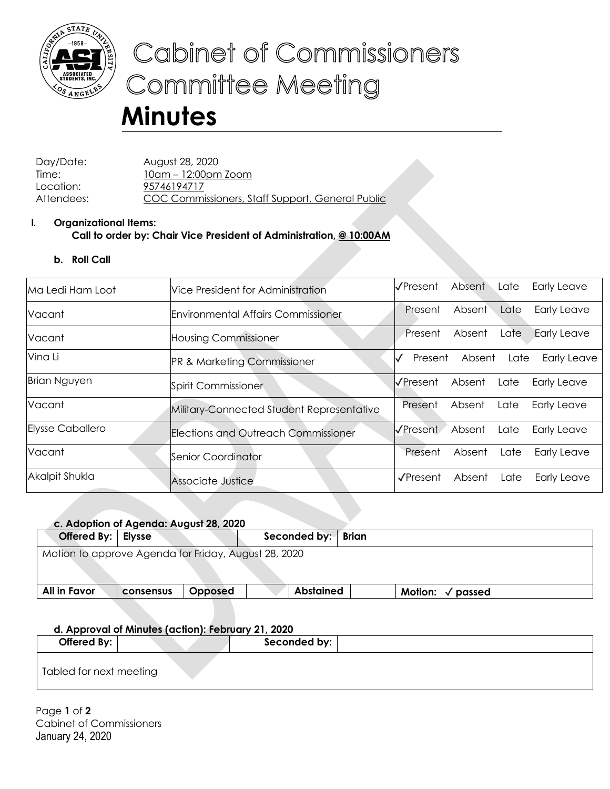

# Cabinet of Commissioners **Committee Meeting**

# **Minutes**

Day/Date: August 28, 2020 Time: 10am – 12:00pm Zoom Location: 95746194717 Attendees: COC Commissioners, Staff Support, General Public

# **I. Organizational Items: Call to order by: Chair Vice President of Administration, @ 10:00AM**

## **b. Roll Call**

| Ma Ledi Ham Loot        | Vice President for Administration         | I√Present        | Absent | Late | <b>Early Leave</b> |
|-------------------------|-------------------------------------------|------------------|--------|------|--------------------|
| Vacant                  | <b>Environmental Affairs Commissioner</b> | Present          | Absent | Late | <b>Early Leave</b> |
| Vacant                  | <b>Housing Commissioner</b>               | Present          | Absent | Late | <b>Early Leave</b> |
| Vina Li                 | <b>PR &amp; Marketing Commissioner</b>    | Present          | Absent | Late | <b>Early Leave</b> |
| <b>Brian Nguyen</b>     | Spirit Commissioner                       | I√Present        | Absent | Late | <b>Early Leave</b> |
| Vacant                  | Military-Connected Student Representative | Present          | Absent | Late | Early Leave        |
| <b>Elysse Caballero</b> | Elections and Outreach Commissioner       | <b>V</b> Present | Absent | Late | <b>Early Leave</b> |
| Vacant                  | Senior Coordinator                        | Present          | Absent | Late | Early Leave        |
| Akalpit Shukla          | Associate Justice                         | $\sqrt{$ Present | Absent | Late | <b>Early Leave</b> |

|                                                      | c. Adoption of Agenda: August 28, 2020 |         |                    |                             |  |
|------------------------------------------------------|----------------------------------------|---------|--------------------|-----------------------------|--|
| Offered By:   Elysse                                 |                                        |         | Seconded by: Brian |                             |  |
| Motion to approve Agenda for Friday, August 28, 2020 |                                        |         |                    |                             |  |
| All in Favor                                         | consensus                              | Opposed | <b>Abstained</b>   | Motion: $\sqrt{}$<br>passed |  |
|                                                      |                                        |         |                    |                             |  |

## **d. Approval of Minutes (action): February 21, 2020**

| Offered By:             |  | Seconded by: |  |
|-------------------------|--|--------------|--|
| Tabled for next meeting |  |              |  |

Page **1** of **2** Cabinet of Commissioners January 24, 2020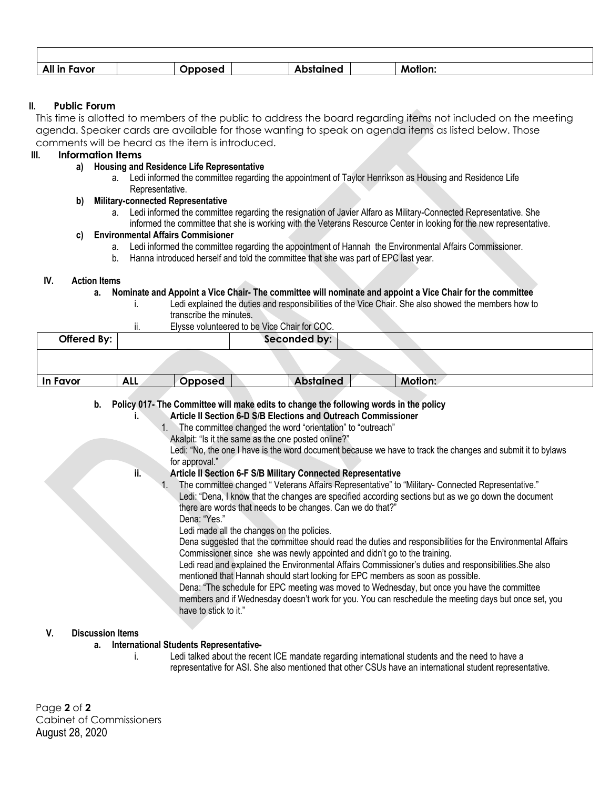| All<br>ravor | aineo<br>. . | Motion: |  |
|--------------|--------------|---------|--|

#### **II. Public Forum**

This time is allotted to members of the public to address the board regarding items not included on the meeting agenda. Speaker cards are available for those wanting to speak on agenda items as listed below. Those comments will be heard as the item is introduced.

#### **III. Information Items**

#### **a) Housing and Residence Life Representative**

a. Ledi informed the committee regarding the appointment of Taylor Henrikson as Housing and Residence Life Representative.

#### **b) Military-connected Representative**

a. Ledi informed the committee regarding the resignation of Javier Alfaro as Military-Connected Representative. She informed the committee that she is working with the Veterans Resource Center in looking for the new representative.

#### **c) Environmental Affairs Commisioner**

- a. Ledi informed the committee regarding the appointment of Hannah the Environmental Affairs Commissioner.
- b. Hanna introduced herself and told the committee that she was part of EPC last year.

#### **IV. Action Items**

#### **a. Nominate and Appoint a Vice Chair- The committee will nominate and appoint a Vice Chair for the committee**

- i. Ledi explained the duties and responsibilities of the Vice Chair. She also showed the members how to transcribe the minutes.
- ii. Elysse volunteered to be Vice Chair for COC.

| Offered By: |            |         | Seconded by:     |                |  |
|-------------|------------|---------|------------------|----------------|--|
|             |            |         |                  |                |  |
| In Favor    | <b>ALL</b> | Opposed | <b>Abstained</b> | <b>Motion:</b> |  |

**b. Policy 017- The Committee will make edits to change the following words in the policy**

**i. Article II Section 6-D S/B Elections and Outreach Commissioner**

- 1. The committee changed the word "orientation" to "outreach"
	- Akalpit: "Is it the same as the one posted online?"
	- Ledi: "No, the one I have is the word document because we have to track the changes and submit it to bylaws for approval."

#### **ii. Article II Section 6-F S/B Military Connected Representative**

1. The committee changed " Veterans Affairs Representative" to "Military- Connected Representative." Ledi: "Dena, I know that the changes are specified according sections but as we go down the document there are words that needs to be changes. Can we do that?"

Dena: "Yes." Ledi made all the changes on the policies.

Dena suggested that the committee should read the duties and responsibilities for the Environmental Affairs Commissioner since she was newly appointed and didn't go to the training.

Ledi read and explained the Environmental Affairs Commissioner's duties and responsibilities.She also mentioned that Hannah should start looking for EPC members as soon as possible.

Dena: "The schedule for EPC meeting was moved to Wednesday, but once you have the committee members and if Wednesday doesn't work for you. You can reschedule the meeting days but once set, you have to stick to it."

#### **V. Discussion Items**

#### **a. International Students Representative-**

i. Ledi talked about the recent ICE mandate regarding international students and the need to have a representative for ASI. She also mentioned that other CSUs have an international student representative.

Page **2** of **2** Cabinet of Commissioners August 28, 2020